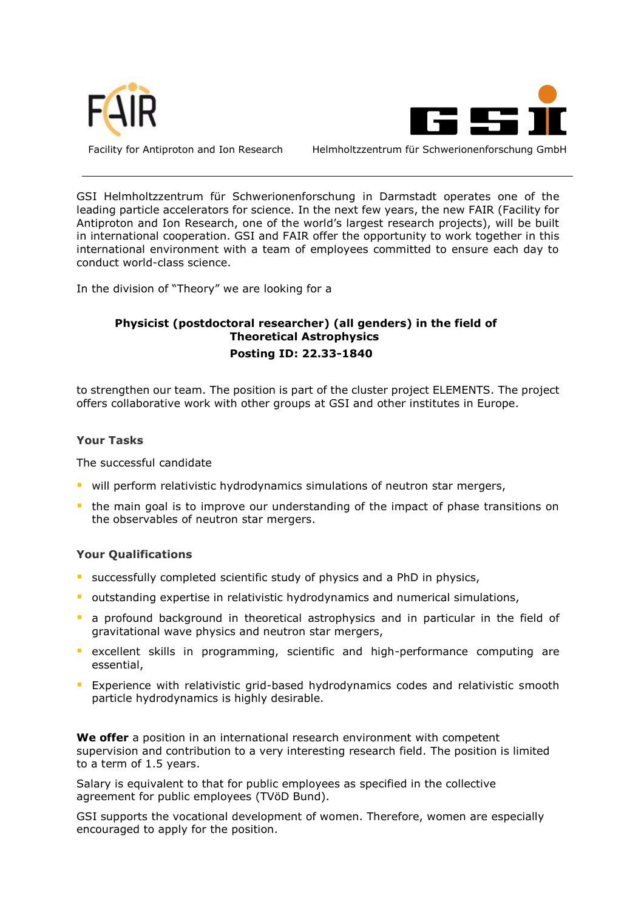



Facility for Antiproton and Ion Research Helmholtzzentrum für Schwerionenforschung GmbH

GSI Helmholtzzentrum für Schwerionenforschung in Darmstadt operates one of the leading particle accelerators for science. In the next few years, the new FAIR (Facility for Antiproton and Ion Research, one of the world's largest research projects), will be built in international cooperation. GSI and FAIR offer the opportunity to work together in this international environment with a team of employees committed to ensure each day to conduct world-class science.

In the division of "Theory" we are looking for a

## **Physicist (postdoctoral researcher) (all genders) in the field of Theoretical Astrophysics Posting ID: 22.33-1840**

to strengthen our team. The position is part of the cluster project ELEMENTS. The project offers collaborative work with other groups at GSI and other institutes in Europe.

## **Your Tasks**

The successful candidate

- will perform relativistic hydrodynamics simulations of neutron star mergers,
- **the main goal is to improve our understanding of the impact of phase transitions on** the observables of neutron star mergers.

## **Your Qualifications**

- successfully completed scientific study of physics and a PhD in physics,
- **•** outstanding expertise in relativistic hydrodynamics and numerical simulations,
- a profound background in theoretical astrophysics and in particular in the field of gravitational wave physics and neutron star mergers,
- **E** excellent skills in programming, scientific and high-performance computing are essential,
- **EXPERIENCE FIGURE 1** Experience with relativistic grid-based hydrodynamics codes and relativistic smooth particle hydrodynamics is highly desirable.

**We offer** a position in an international research environment with competent supervision and contribution to a very interesting research field. The position is limited to a term of 1.5 years.

Salary is equivalent to that for public employees as specified in the collective agreement for public employees (TVöD Bund).

GSI supports the vocational development of women. Therefore, women are especially encouraged to apply for the position.